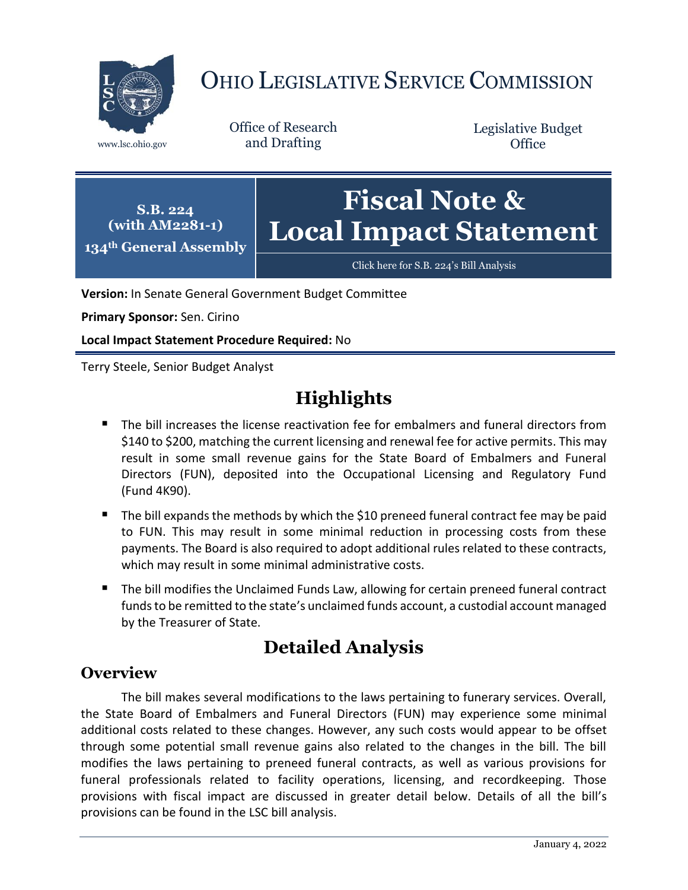

# OHIO LEGISLATIVE SERVICE COMMISSION

Office of Research www.lsc.ohio.gov and Drafting

Legislative Budget **Office** 

**S.B. 224 (with AM2281-1) 134th General Assembly**

# **Fiscal Note & Local Impact Statement**

[Click here for S.B. 224](https://www.legislature.ohio.gov/legislation/legislation-documents?id=GA134-SB-224)'s Bill Analysis

**Version:** In Senate General Government Budget Committee

**Primary Sponsor:** Sen. Cirino

**Local Impact Statement Procedure Required:** No

Terry Steele, Senior Budget Analyst

# **Highlights**

- The bill increases the license reactivation fee for embalmers and funeral directors from \$140 to \$200, matching the current licensing and renewal fee for active permits. This may result in some small revenue gains for the State Board of Embalmers and Funeral Directors (FUN), deposited into the Occupational Licensing and Regulatory Fund (Fund 4K90).
- The bill expands the methods by which the \$10 preneed funeral contract fee may be paid to FUN. This may result in some minimal reduction in processing costs from these payments. The Board is also required to adopt additional rules related to these contracts, which may result in some minimal administrative costs.
- The bill modifies the Unclaimed Funds Law, allowing for certain preneed funeral contract funds to be remitted to the state's unclaimed funds account, a custodial account managed by the Treasurer of State.

## **Detailed Analysis**

#### **Overview**

The bill makes several modifications to the laws pertaining to funerary services. Overall, the State Board of Embalmers and Funeral Directors (FUN) may experience some minimal additional costs related to these changes. However, any such costs would appear to be offset through some potential small revenue gains also related to the changes in the bill. The bill modifies the laws pertaining to preneed funeral contracts, as well as various provisions for funeral professionals related to facility operations, licensing, and recordkeeping. Those provisions with fiscal impact are discussed in greater detail below. Details of all the bill's provisions can be found in the LSC bill analysis.